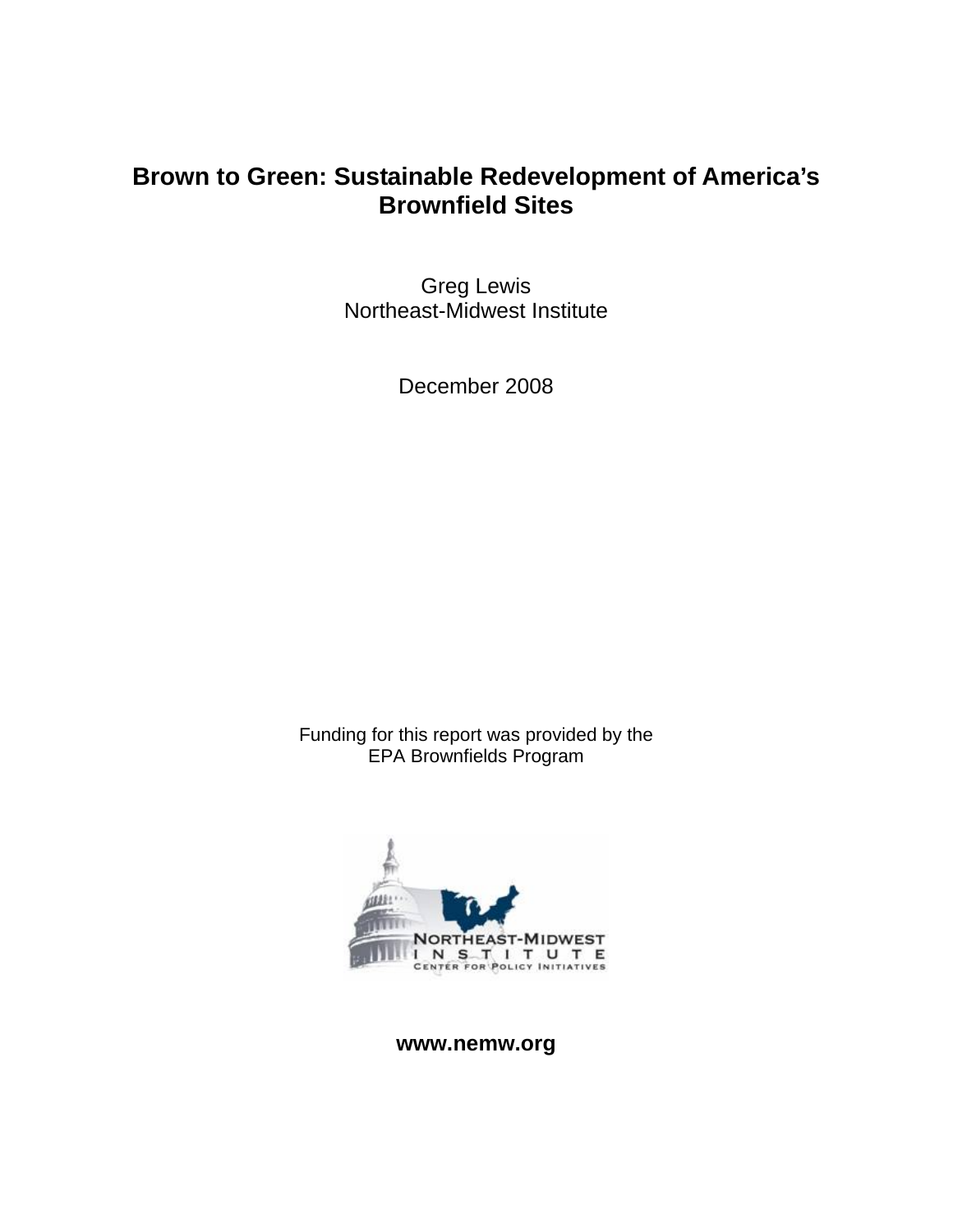### **Brown to Green: Sustainable Redevelopment of America's Brownfield Sites**

Greg Lewis Northeast-Midwest Institute

December 2008

Funding for this report was provided by the EPA Brownfields Program



**www.nemw.org**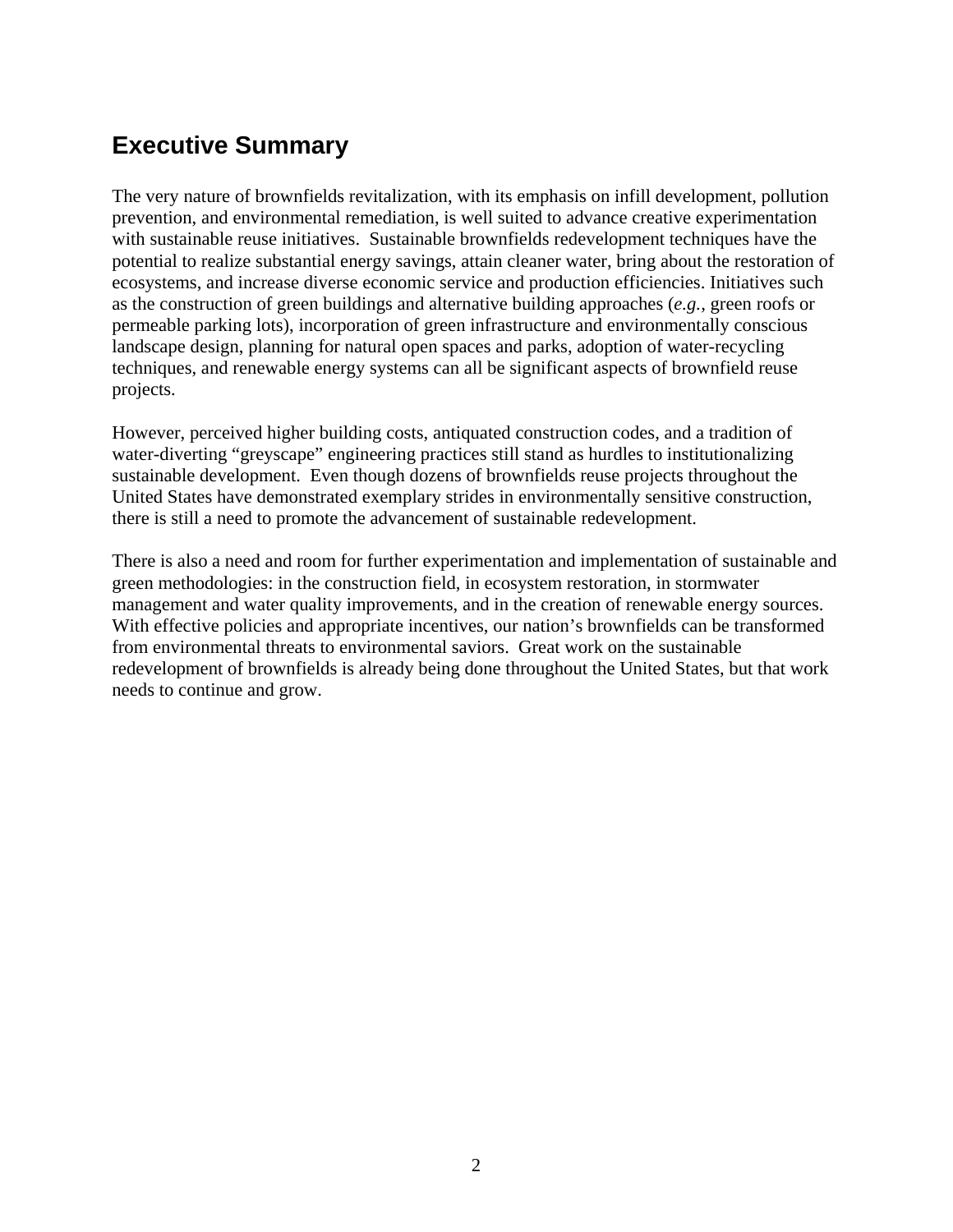### **Executive Summary**

The very nature of brownfields revitalization, with its emphasis on infill development, pollution prevention, and environmental remediation, is well suited to advance creative experimentation with sustainable reuse initiatives. Sustainable brownfields redevelopment techniques have the potential to realize substantial energy savings, attain cleaner water, bring about the restoration of ecosystems, and increase diverse economic service and production efficiencies. Initiatives such as the construction of green buildings and alternative building approaches (*e.g.,* green roofs or permeable parking lots), incorporation of green infrastructure and environmentally conscious landscape design, planning for natural open spaces and parks, adoption of water-recycling techniques, and renewable energy systems can all be significant aspects of brownfield reuse projects.

However, perceived higher building costs, antiquated construction codes, and a tradition of water-diverting "greyscape" engineering practices still stand as hurdles to institutionalizing sustainable development. Even though dozens of brownfields reuse projects throughout the United States have demonstrated exemplary strides in environmentally sensitive construction, there is still a need to promote the advancement of sustainable redevelopment.

There is also a need and room for further experimentation and implementation of sustainable and green methodologies: in the construction field, in ecosystem restoration, in stormwater management and water quality improvements, and in the creation of renewable energy sources. With effective policies and appropriate incentives, our nation's brownfields can be transformed from environmental threats to environmental saviors. Great work on the sustainable redevelopment of brownfields is already being done throughout the United States, but that work needs to continue and grow.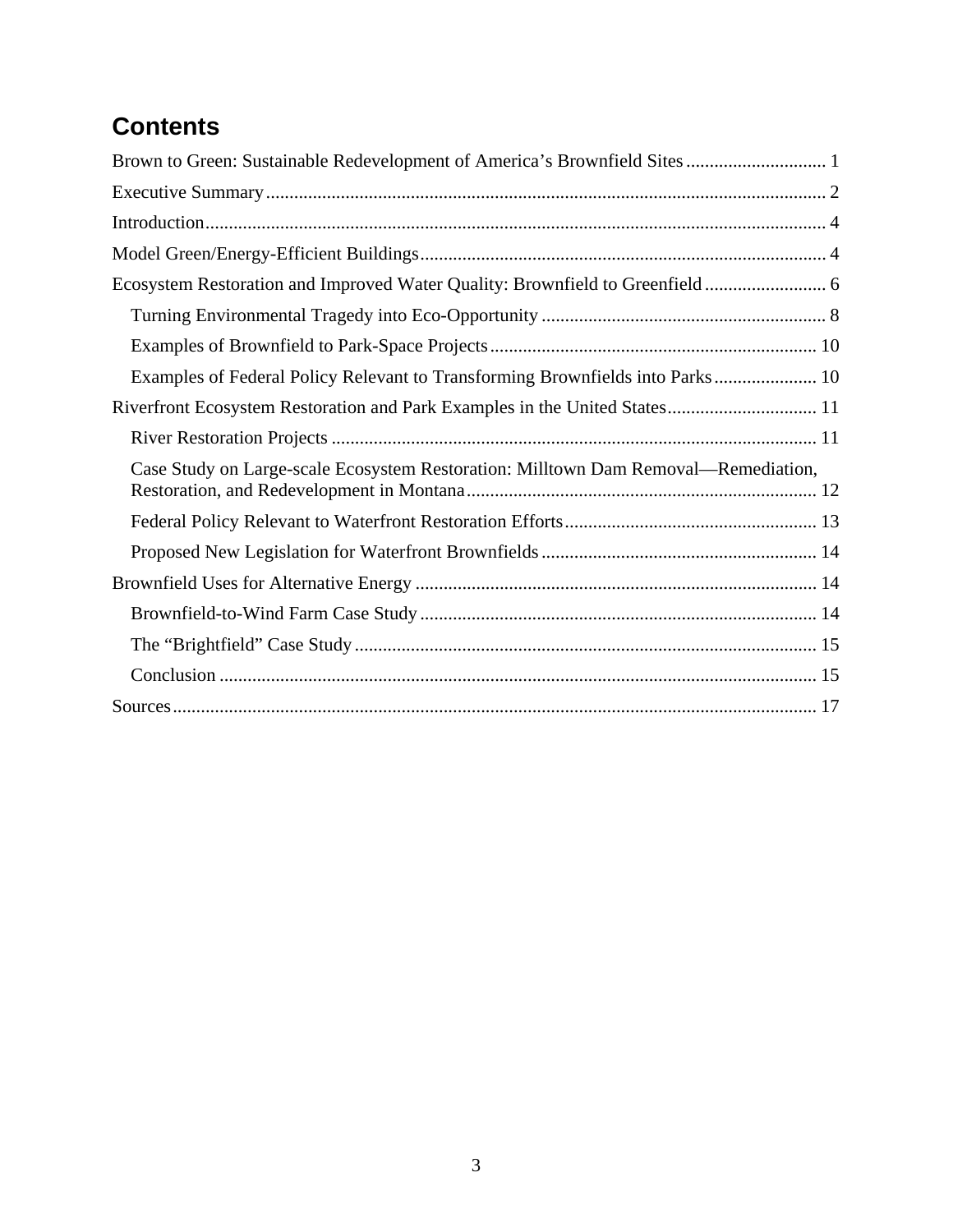# **Contents**

| Brown to Green: Sustainable Redevelopment of America's Brownfield Sites 1          |
|------------------------------------------------------------------------------------|
|                                                                                    |
|                                                                                    |
|                                                                                    |
| Ecosystem Restoration and Improved Water Quality: Brownfield to Greenfield         |
|                                                                                    |
|                                                                                    |
| Examples of Federal Policy Relevant to Transforming Brownfields into Parks 10      |
| Riverfront Ecosystem Restoration and Park Examples in the United States 11         |
|                                                                                    |
| Case Study on Large-scale Ecosystem Restoration: Milltown Dam Removal—Remediation, |
|                                                                                    |
|                                                                                    |
|                                                                                    |
|                                                                                    |
|                                                                                    |
|                                                                                    |
|                                                                                    |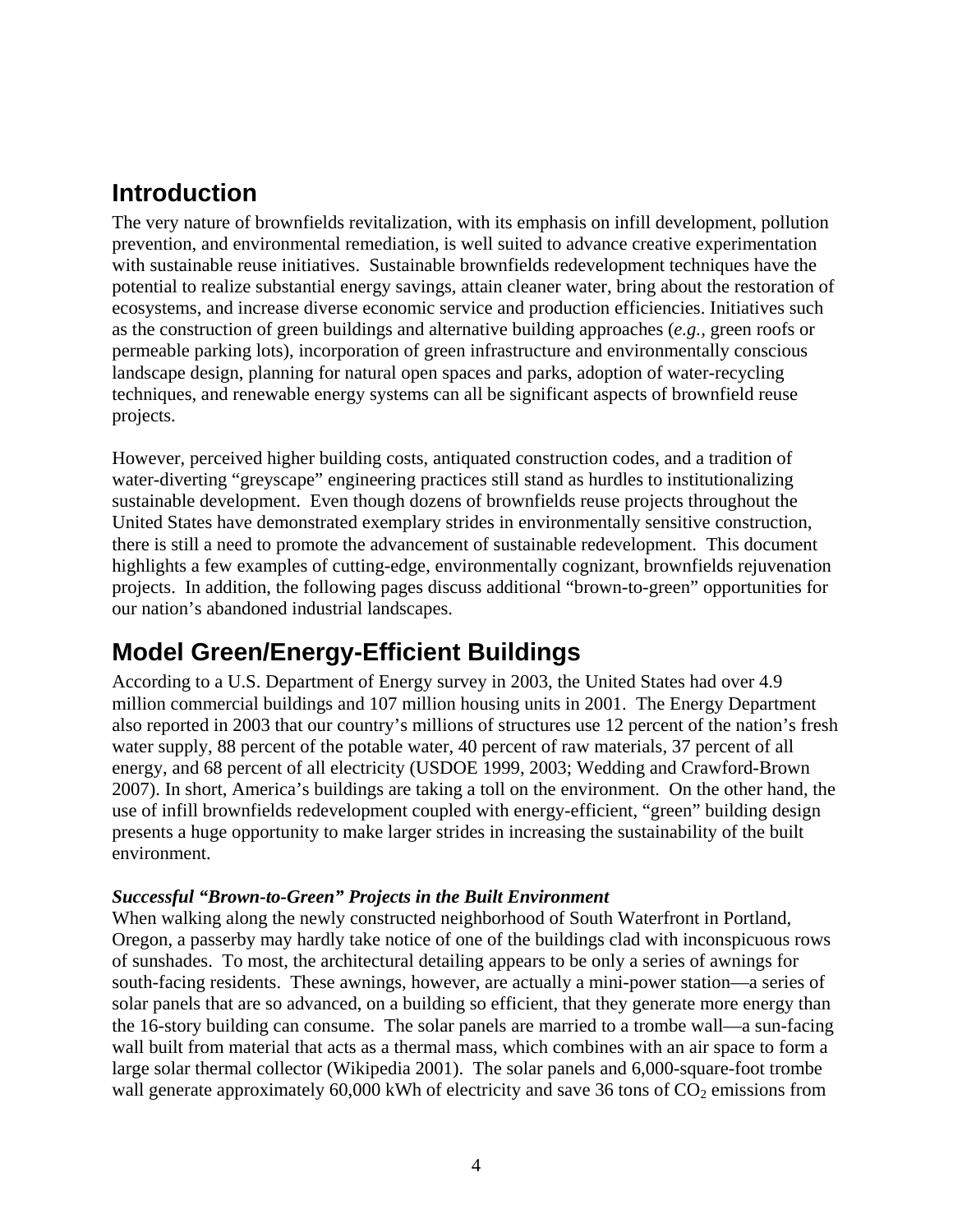### **Introduction**

The very nature of brownfields revitalization, with its emphasis on infill development, pollution prevention, and environmental remediation, is well suited to advance creative experimentation with sustainable reuse initiatives. Sustainable brownfields redevelopment techniques have the potential to realize substantial energy savings, attain cleaner water, bring about the restoration of ecosystems, and increase diverse economic service and production efficiencies. Initiatives such as the construction of green buildings and alternative building approaches (*e.g.,* green roofs or permeable parking lots), incorporation of green infrastructure and environmentally conscious landscape design, planning for natural open spaces and parks, adoption of water-recycling techniques, and renewable energy systems can all be significant aspects of brownfield reuse projects.

However, perceived higher building costs, antiquated construction codes, and a tradition of water-diverting "greyscape" engineering practices still stand as hurdles to institutionalizing sustainable development. Even though dozens of brownfields reuse projects throughout the United States have demonstrated exemplary strides in environmentally sensitive construction, there is still a need to promote the advancement of sustainable redevelopment. This document highlights a few examples of cutting-edge, environmentally cognizant, brownfields rejuvenation projects. In addition, the following pages discuss additional "brown-to-green" opportunities for our nation's abandoned industrial landscapes.

## **Model Green/Energy-Efficient Buildings**

According to a U.S. Department of Energy survey in 2003, the United States had over 4.9 million commercial buildings and 107 million housing units in 2001. The Energy Department also reported in 2003 that our country's millions of structures use 12 percent of the nation's fresh water supply, 88 percent of the potable water, 40 percent of raw materials, 37 percent of all energy, and 68 percent of all electricity (USDOE 1999, 2003; Wedding and Crawford-Brown 2007). In short, America's buildings are taking a toll on the environment. On the other hand, the use of infill brownfields redevelopment coupled with energy-efficient, "green" building design presents a huge opportunity to make larger strides in increasing the sustainability of the built environment.

### *Successful "Brown-to-Green" Projects in the Built Environment*

When walking along the newly constructed neighborhood of South Waterfront in Portland, Oregon, a passerby may hardly take notice of one of the buildings clad with inconspicuous rows of sunshades. To most, the architectural detailing appears to be only a series of awnings for south-facing residents. These awnings, however, are actually a mini-power station—a series of solar panels that are so advanced, on a building so efficient, that they generate more energy than the 16-story building can consume. The solar panels are married to a trombe wall—a sun-facing wall built from material that acts as a thermal mass, which combines with an air space to form a large solar thermal collector (Wikipedia 2001). The solar panels and 6,000-square-foot trombe wall generate approximately  $60,000$  kWh of electricity and save 36 tons of  $CO<sub>2</sub>$  emissions from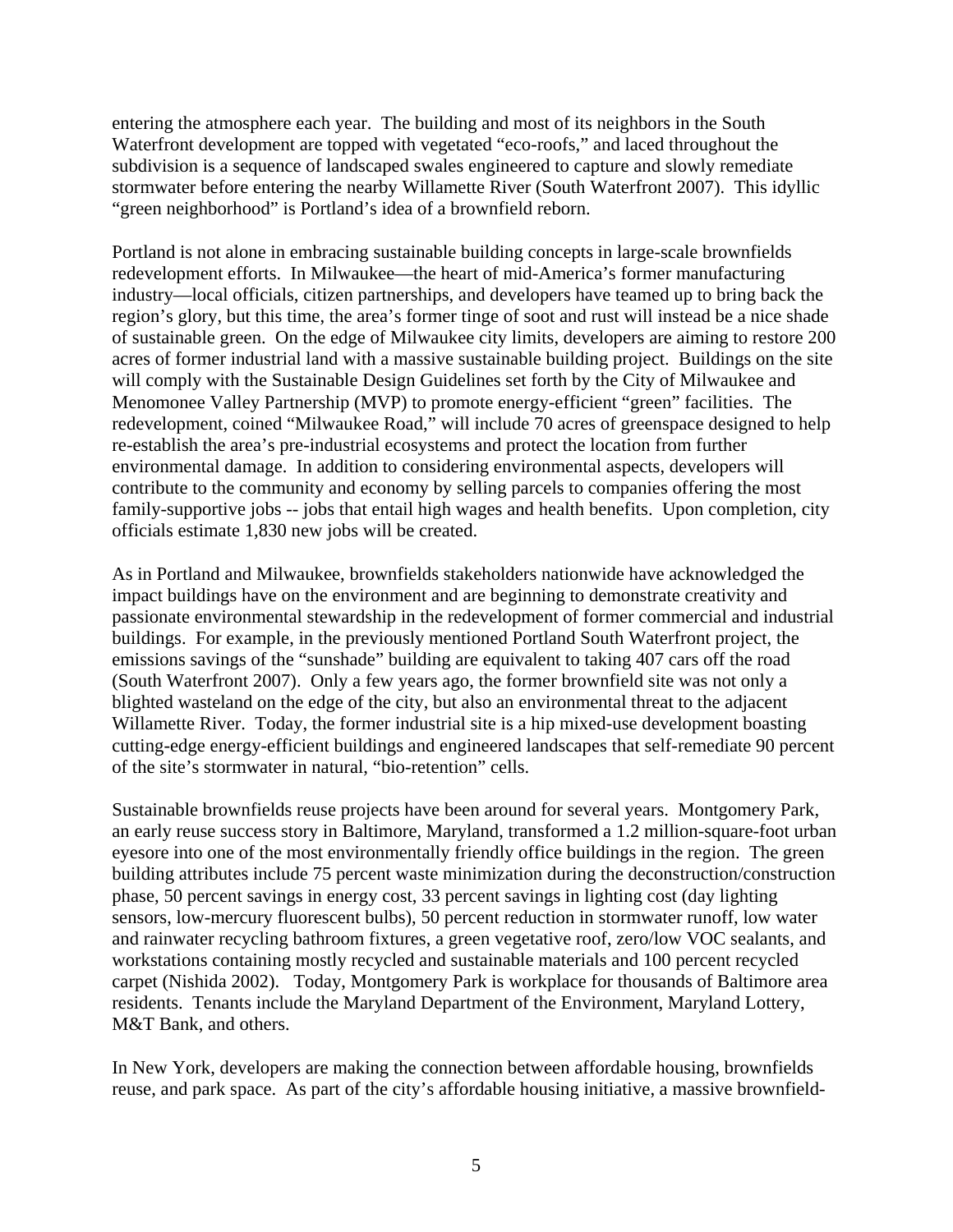entering the atmosphere each year. The building and most of its neighbors in the South Waterfront development are topped with vegetated "eco-roofs," and laced throughout the subdivision is a sequence of landscaped swales engineered to capture and slowly remediate stormwater before entering the nearby Willamette River (South Waterfront 2007). This idyllic "green neighborhood" is Portland's idea of a brownfield reborn.

Portland is not alone in embracing sustainable building concepts in large-scale brownfields redevelopment efforts. In Milwaukee—the heart of mid-America's former manufacturing industry—local officials, citizen partnerships, and developers have teamed up to bring back the region's glory, but this time, the area's former tinge of soot and rust will instead be a nice shade of sustainable green. On the edge of Milwaukee city limits, developers are aiming to restore 200 acres of former industrial land with a massive sustainable building project. Buildings on the site will comply with the Sustainable Design Guidelines set forth by the City of Milwaukee and Menomonee Valley Partnership (MVP) to promote energy-efficient "green" facilities. The redevelopment, coined "Milwaukee Road," will include 70 acres of greenspace designed to help re-establish the area's pre-industrial ecosystems and protect the location from further environmental damage. In addition to considering environmental aspects, developers will contribute to the community and economy by selling parcels to companies offering the most family-supportive jobs -- jobs that entail high wages and health benefits. Upon completion, city officials estimate 1,830 new jobs will be created.

As in Portland and Milwaukee, brownfields stakeholders nationwide have acknowledged the impact buildings have on the environment and are beginning to demonstrate creativity and passionate environmental stewardship in the redevelopment of former commercial and industrial buildings. For example, in the previously mentioned Portland South Waterfront project, the emissions savings of the "sunshade" building are equivalent to taking 407 cars off the road (South Waterfront 2007). Only a few years ago, the former brownfield site was not only a blighted wasteland on the edge of the city, but also an environmental threat to the adjacent Willamette River. Today, the former industrial site is a hip mixed-use development boasting cutting-edge energy-efficient buildings and engineered landscapes that self-remediate 90 percent of the site's stormwater in natural, "bio-retention" cells.

Sustainable brownfields reuse projects have been around for several years. Montgomery Park, an early reuse success story in Baltimore, Maryland, transformed a 1.2 million-square-foot urban eyesore into one of the most environmentally friendly office buildings in the region. The green building attributes include 75 percent waste minimization during the deconstruction/construction phase, 50 percent savings in energy cost, 33 percent savings in lighting cost (day lighting sensors, low-mercury fluorescent bulbs), 50 percent reduction in stormwater runoff, low water and rainwater recycling bathroom fixtures, a green vegetative roof, zero/low VOC sealants, and workstations containing mostly recycled and sustainable materials and 100 percent recycled carpet (Nishida 2002). Today, Montgomery Park is workplace for thousands of Baltimore area residents. Tenants include the Maryland Department of the Environment, Maryland Lottery, M&T Bank, and others.

In New York, developers are making the connection between affordable housing, brownfields reuse, and park space. As part of the city's affordable housing initiative, a massive brownfield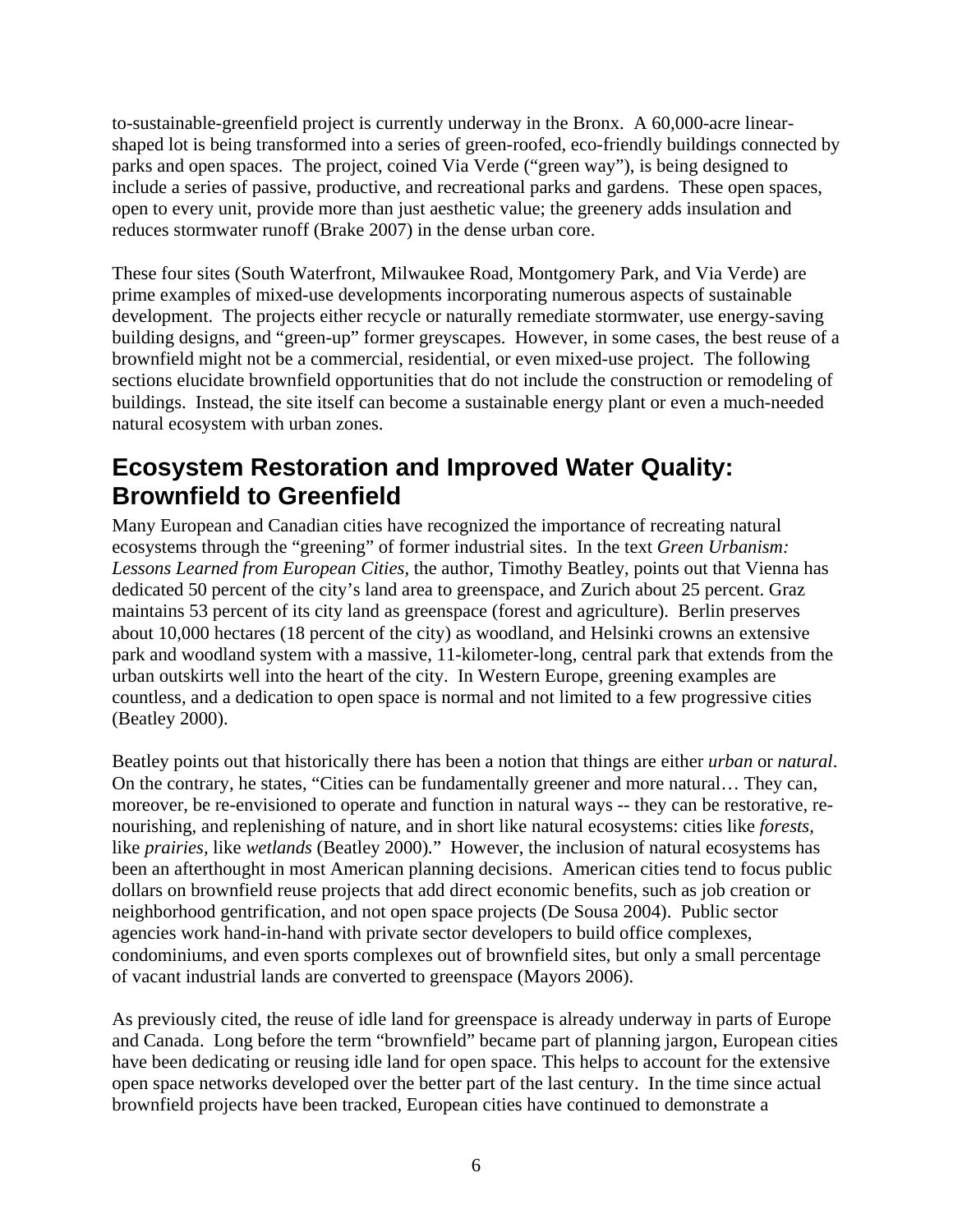to-sustainable-greenfield project is currently underway in the Bronx. A 60,000-acre linearshaped lot is being transformed into a series of green-roofed, eco-friendly buildings connected by parks and open spaces. The project, coined Via Verde ("green way"), is being designed to include a series of passive, productive, and recreational parks and gardens. These open spaces, open to every unit, provide more than just aesthetic value; the greenery adds insulation and reduces stormwater runoff (Brake 2007) in the dense urban core.

These four sites (South Waterfront, Milwaukee Road, Montgomery Park, and Via Verde) are prime examples of mixed-use developments incorporating numerous aspects of sustainable development. The projects either recycle or naturally remediate stormwater, use energy-saving building designs, and "green-up" former greyscapes. However, in some cases, the best reuse of a brownfield might not be a commercial, residential, or even mixed-use project. The following sections elucidate brownfield opportunities that do not include the construction or remodeling of buildings. Instead, the site itself can become a sustainable energy plant or even a much-needed natural ecosystem with urban zones.

### **Ecosystem Restoration and Improved Water Quality: Brownfield to Greenfield**

Many European and Canadian cities have recognized the importance of recreating natural ecosystems through the "greening" of former industrial sites. In the text *Green Urbanism: Lessons Learned from European Cities,* the author, Timothy Beatley, points out that Vienna has dedicated 50 percent of the city's land area to greenspace, and Zurich about 25 percent. Graz maintains 53 percent of its city land as greenspace (forest and agriculture). Berlin preserves about 10,000 hectares (18 percent of the city) as woodland, and Helsinki crowns an extensive park and woodland system with a massive, 11-kilometer-long, central park that extends from the urban outskirts well into the heart of the city. In Western Europe, greening examples are countless, and a dedication to open space is normal and not limited to a few progressive cities (Beatley 2000).

Beatley points out that historically there has been a notion that things are either *urban* or *natural*. On the contrary, he states, "Cities can be fundamentally greener and more natural… They can, moreover, be re-envisioned to operate and function in natural ways -- they can be restorative, renourishing, and replenishing of nature, and in short like natural ecosystems: cities like *forests,*  like *prairies*, like *wetlands* (Beatley 2000)." However, the inclusion of natural ecosystems has been an afterthought in most American planning decisions. American cities tend to focus public dollars on brownfield reuse projects that add direct economic benefits, such as job creation or neighborhood gentrification, and not open space projects (De Sousa 2004). Public sector agencies work hand-in-hand with private sector developers to build office complexes, condominiums, and even sports complexes out of brownfield sites, but only a small percentage of vacant industrial lands are converted to greenspace (Mayors 2006).

As previously cited, the reuse of idle land for greenspace is already underway in parts of Europe and Canada. Long before the term "brownfield" became part of planning jargon, European cities have been dedicating or reusing idle land for open space. This helps to account for the extensive open space networks developed over the better part of the last century. In the time since actual brownfield projects have been tracked, European cities have continued to demonstrate a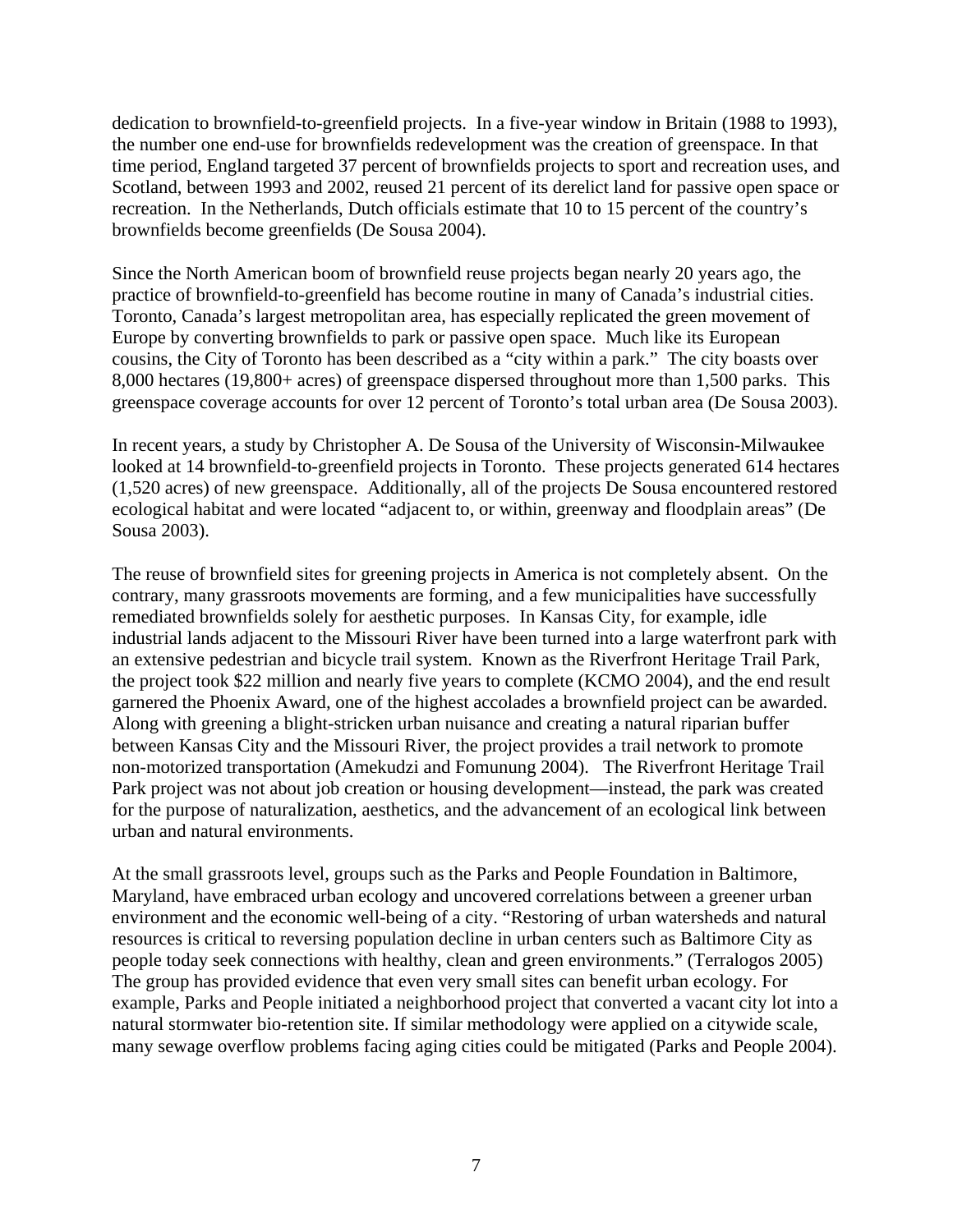dedication to brownfield-to-greenfield projects. In a five-year window in Britain (1988 to 1993), the number one end-use for brownfields redevelopment was the creation of greenspace. In that time period, England targeted 37 percent of brownfields projects to sport and recreation uses, and Scotland, between 1993 and 2002, reused 21 percent of its derelict land for passive open space or recreation. In the Netherlands, Dutch officials estimate that 10 to 15 percent of the country's brownfields become greenfields (De Sousa 2004).

Since the North American boom of brownfield reuse projects began nearly 20 years ago, the practice of brownfield-to-greenfield has become routine in many of Canada's industrial cities. Toronto, Canada's largest metropolitan area, has especially replicated the green movement of Europe by converting brownfields to park or passive open space. Much like its European cousins, the City of Toronto has been described as a "city within a park." The city boasts over 8,000 hectares (19,800+ acres) of greenspace dispersed throughout more than 1,500 parks. This greenspace coverage accounts for over 12 percent of Toronto's total urban area (De Sousa 2003).

In recent years, a study by Christopher A. De Sousa of the University of Wisconsin-Milwaukee looked at 14 brownfield-to-greenfield projects in Toronto. These projects generated 614 hectares (1,520 acres) of new greenspace. Additionally, all of the projects De Sousa encountered restored ecological habitat and were located "adjacent to, or within, greenway and floodplain areas" (De Sousa 2003).

The reuse of brownfield sites for greening projects in America is not completely absent. On the contrary, many grassroots movements are forming, and a few municipalities have successfully remediated brownfields solely for aesthetic purposes. In Kansas City, for example, idle industrial lands adjacent to the Missouri River have been turned into a large waterfront park with an extensive pedestrian and bicycle trail system. Known as the Riverfront Heritage Trail Park, the project took \$22 million and nearly five years to complete (KCMO 2004), and the end result garnered the Phoenix Award, one of the highest accolades a brownfield project can be awarded. Along with greening a blight-stricken urban nuisance and creating a natural riparian buffer between Kansas City and the Missouri River, the project provides a trail network to promote non-motorized transportation (Amekudzi and Fomunung 2004). The Riverfront Heritage Trail Park project was not about job creation or housing development—instead, the park was created for the purpose of naturalization, aesthetics, and the advancement of an ecological link between urban and natural environments.

At the small grassroots level, groups such as the Parks and People Foundation in Baltimore, Maryland, have embraced urban ecology and uncovered correlations between a greener urban environment and the economic well-being of a city. "Restoring of urban watersheds and natural resources is critical to reversing population decline in urban centers such as Baltimore City as people today seek connections with healthy, clean and green environments." (Terralogos 2005) The group has provided evidence that even very small sites can benefit urban ecology. For example, Parks and People initiated a neighborhood project that converted a vacant city lot into a natural stormwater bio-retention site. If similar methodology were applied on a citywide scale, many sewage overflow problems facing aging cities could be mitigated (Parks and People 2004).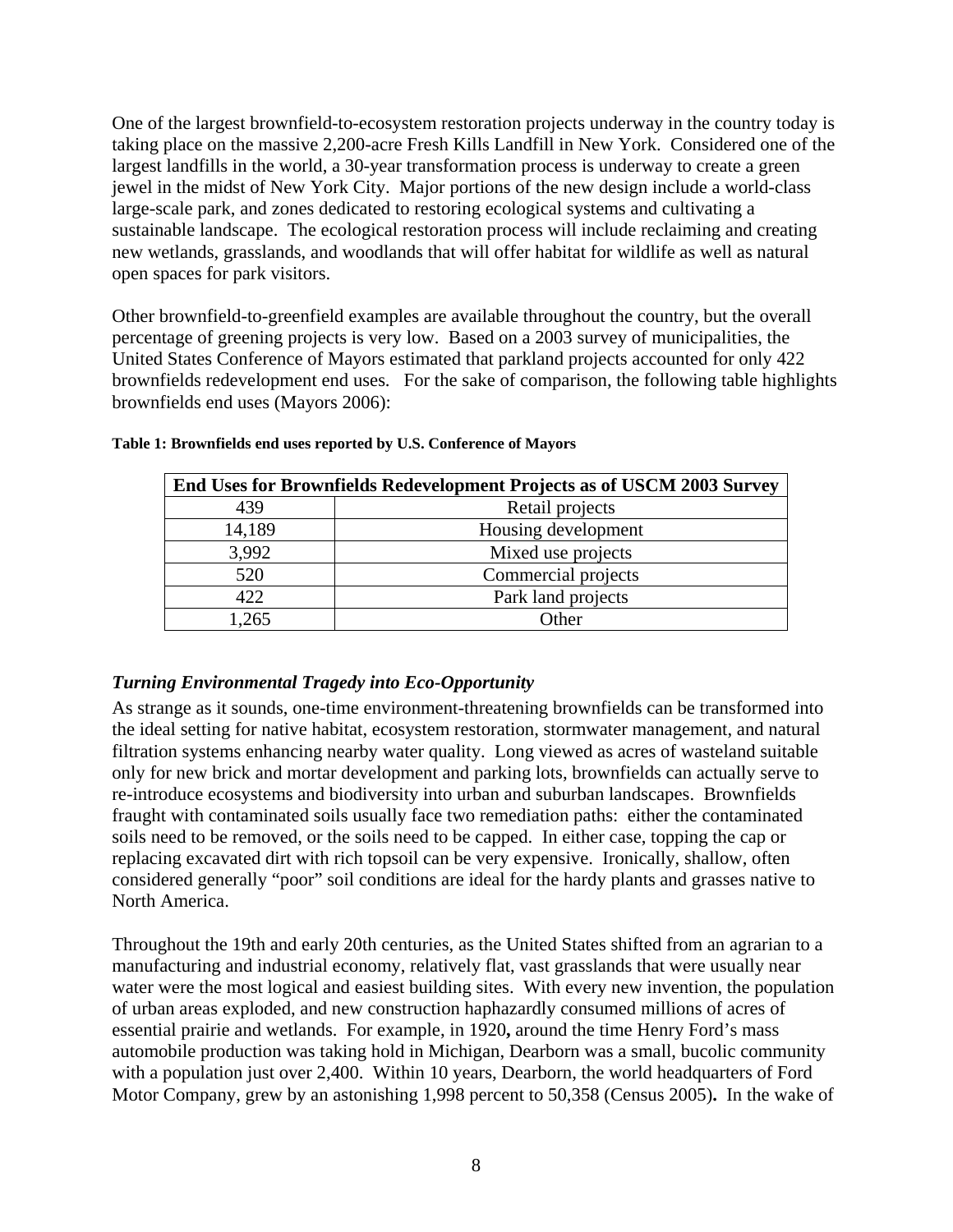One of the largest brownfield-to-ecosystem restoration projects underway in the country today is taking place on the massive 2,200-acre Fresh Kills Landfill in New York. Considered one of the largest landfills in the world, a 30-year transformation process is underway to create a green jewel in the midst of New York City. Major portions of the new design include a world-class large-scale park, and zones dedicated to restoring ecological systems and cultivating a sustainable landscape. The ecological restoration process will include reclaiming and creating new wetlands, grasslands, and woodlands that will offer habitat for wildlife as well as natural open spaces for park visitors.

Other brownfield-to-greenfield examples are available throughout the country, but the overall percentage of greening projects is very low. Based on a 2003 survey of municipalities, the United States Conference of Mayors estimated that parkland projects accounted for only 422 brownfields redevelopment end uses. For the sake of comparison, the following table highlights brownfields end uses (Mayors 2006):

| End Uses for Brownfields Redevelopment Projects as of USCM 2003 Survey |                     |
|------------------------------------------------------------------------|---------------------|
| 439                                                                    | Retail projects     |
| 14,189                                                                 | Housing development |
| 3,992                                                                  | Mixed use projects  |
| 520                                                                    | Commercial projects |
| 422                                                                    | Park land projects  |
| .265                                                                   | Other               |

#### **Table 1: Brownfields end uses reported by U.S. Conference of Mayors**

#### *Turning Environmental Tragedy into Eco-Opportunity*

As strange as it sounds, one-time environment-threatening brownfields can be transformed into the ideal setting for native habitat, ecosystem restoration, stormwater management, and natural filtration systems enhancing nearby water quality. Long viewed as acres of wasteland suitable only for new brick and mortar development and parking lots, brownfields can actually serve to re-introduce ecosystems and biodiversity into urban and suburban landscapes. Brownfields fraught with contaminated soils usually face two remediation paths: either the contaminated soils need to be removed, or the soils need to be capped. In either case, topping the cap or replacing excavated dirt with rich topsoil can be very expensive. Ironically, shallow, often considered generally "poor" soil conditions are ideal for the hardy plants and grasses native to North America.

Throughout the 19th and early 20th centuries, as the United States shifted from an agrarian to a manufacturing and industrial economy, relatively flat, vast grasslands that were usually near water were the most logical and easiest building sites. With every new invention, the population of urban areas exploded, and new construction haphazardly consumed millions of acres of essential prairie and wetlands. For example, in 1920**,** around the time Henry Ford's mass automobile production was taking hold in Michigan, Dearborn was a small, bucolic community with a population just over 2,400. Within 10 years, Dearborn, the world headquarters of Ford Motor Company, grew by an astonishing 1,998 percent to 50,358 (Census 2005)**.** In the wake of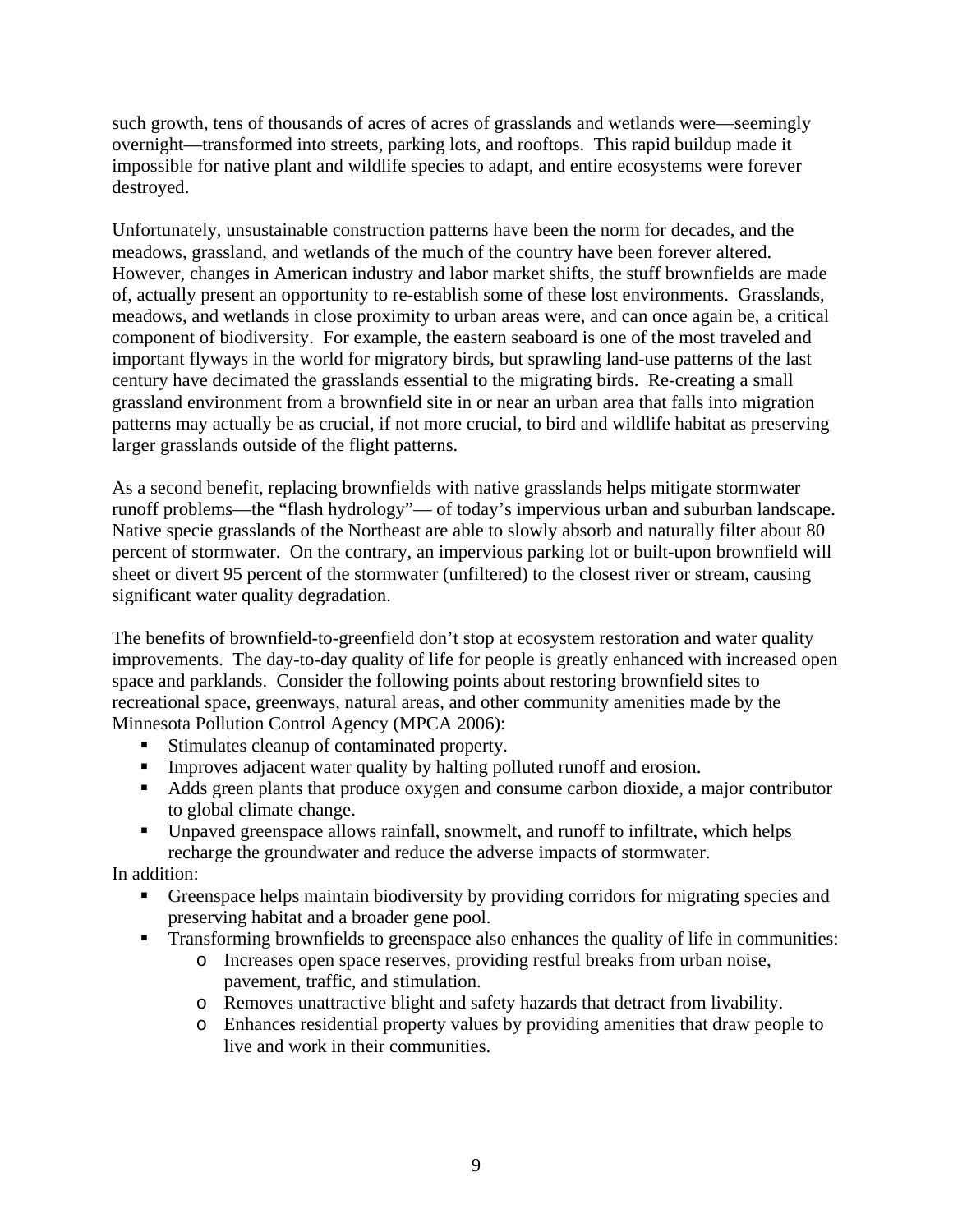such growth, tens of thousands of acres of acres of grasslands and wetlands were—seemingly overnight—transformed into streets, parking lots, and rooftops. This rapid buildup made it impossible for native plant and wildlife species to adapt, and entire ecosystems were forever destroyed.

Unfortunately, unsustainable construction patterns have been the norm for decades, and the meadows, grassland, and wetlands of the much of the country have been forever altered. However, changes in American industry and labor market shifts, the stuff brownfields are made of, actually present an opportunity to re-establish some of these lost environments. Grasslands, meadows, and wetlands in close proximity to urban areas were, and can once again be, a critical component of biodiversity. For example, the eastern seaboard is one of the most traveled and important flyways in the world for migratory birds, but sprawling land-use patterns of the last century have decimated the grasslands essential to the migrating birds. Re-creating a small grassland environment from a brownfield site in or near an urban area that falls into migration patterns may actually be as crucial, if not more crucial, to bird and wildlife habitat as preserving larger grasslands outside of the flight patterns.

As a second benefit, replacing brownfields with native grasslands helps mitigate stormwater runoff problems—the "flash hydrology"— of today's impervious urban and suburban landscape. Native specie grasslands of the Northeast are able to slowly absorb and naturally filter about 80 percent of stormwater. On the contrary, an impervious parking lot or built-upon brownfield will sheet or divert 95 percent of the stormwater (unfiltered) to the closest river or stream, causing significant water quality degradation.

The benefits of brownfield-to-greenfield don't stop at ecosystem restoration and water quality improvements. The day-to-day quality of life for people is greatly enhanced with increased open space and parklands. Consider the following points about restoring brownfield sites to recreational space, greenways, natural areas, and other community amenities made by the Minnesota Pollution Control Agency (MPCA 2006):

- Stimulates cleanup of contaminated property.
- **IMPROVES** adjacent water quality by halting polluted runoff and erosion.
- Adds green plants that produce oxygen and consume carbon dioxide, a major contributor to global climate change.
- Unpaved greenspace allows rainfall, snowmelt, and runoff to infiltrate, which helps recharge the groundwater and reduce the adverse impacts of stormwater.

In addition:

- Greenspace helps maintain biodiversity by providing corridors for migrating species and preserving habitat and a broader gene pool.
- **Transforming brownfields to greenspace also enhances the quality of life in communities:** 
	- o Increases open space reserves, providing restful breaks from urban noise, pavement, traffic, and stimulation.
	- o Removes unattractive blight and safety hazards that detract from livability.
	- o Enhances residential property values by providing amenities that draw people to live and work in their communities.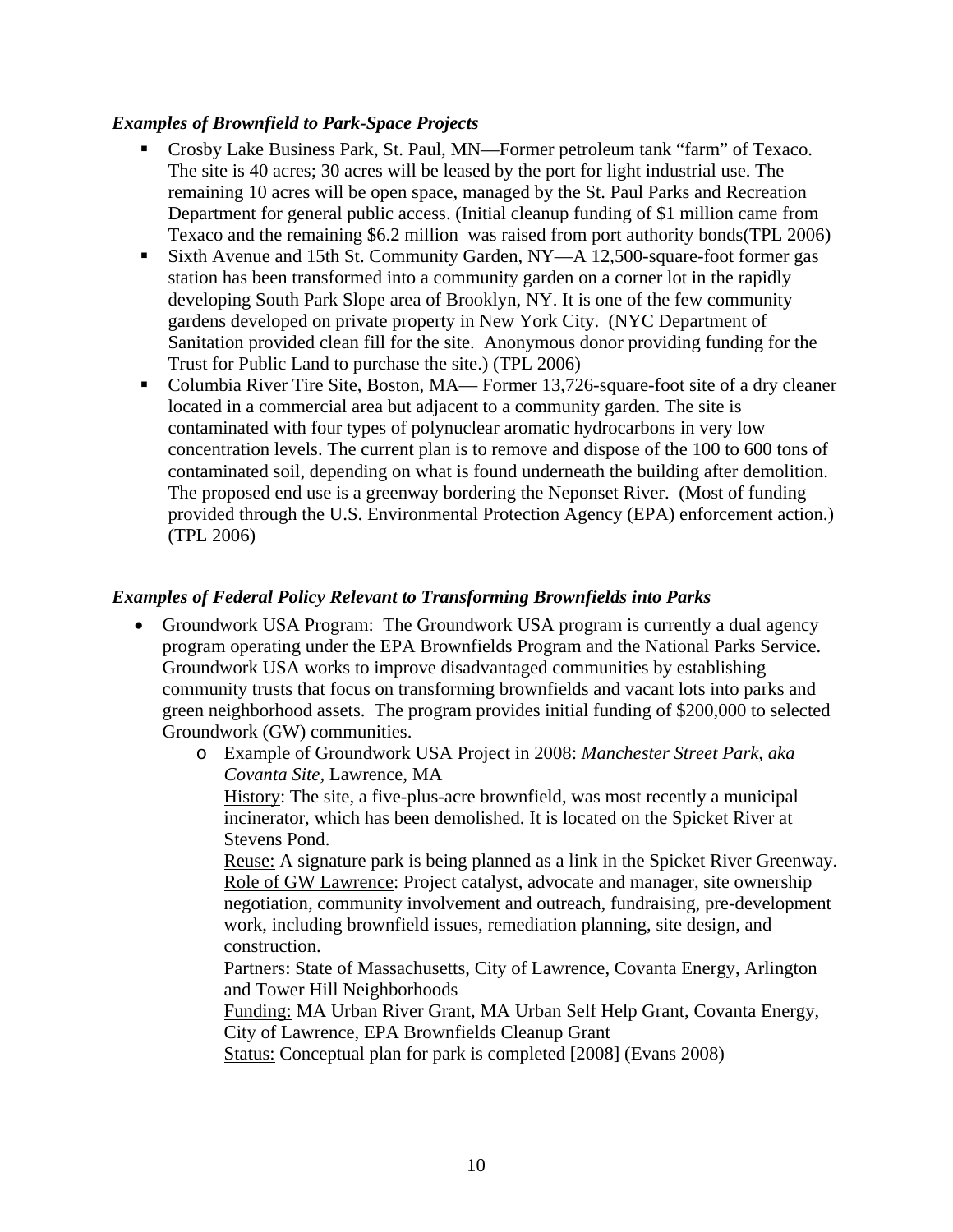### *Examples of Brownfield to Park-Space Projects*

- Crosby Lake Business Park, St. Paul, MN—Former petroleum tank "farm" of Texaco. The site is 40 acres; 30 acres will be leased by the port for light industrial use. The remaining 10 acres will be open space, managed by the St. Paul Parks and Recreation Department for general public access. (Initial cleanup funding of \$1 million came from Texaco and the remaining \$6.2 million was raised from port authority bonds(TPL 2006)
- Sixth Avenue and 15th St. Community Garden, NY—A 12,500-square-foot former gas station has been transformed into a community garden on a corner lot in the rapidly developing South Park Slope area of Brooklyn, NY. It is one of the few community gardens developed on private property in New York City. (NYC Department of Sanitation provided clean fill for the site. Anonymous donor providing funding for the Trust for Public Land to purchase the site.) (TPL 2006)
- Columbia River Tire Site, Boston, MA— Former 13,726-square-foot site of a dry cleaner located in a commercial area but adjacent to a community garden. The site is contaminated with four types of polynuclear aromatic hydrocarbons in very low concentration levels. The current plan is to remove and dispose of the 100 to 600 tons of contaminated soil, depending on what is found underneath the building after demolition. The proposed end use is a greenway bordering the Neponset River. (Most of funding provided through the U.S. Environmental Protection Agency (EPA) enforcement action.) (TPL 2006)

### *Examples of Federal Policy Relevant to Transforming Brownfields into Parks*

- Groundwork USA Program: The Groundwork USA program is currently a dual agency program operating under the EPA Brownfields Program and the National Parks Service. Groundwork USA works to improve disadvantaged communities by establishing community trusts that focus on transforming brownfields and vacant lots into parks and green neighborhood assets. The program provides initial funding of \$200,000 to selected Groundwork (GW) communities.
	- o Example of Groundwork USA Project in 2008: *Manchester Street Park, aka Covanta Site,* Lawrence, MA

History: The site, a five-plus-acre brownfield, was most recently a municipal incinerator, which has been demolished. It is located on the Spicket River at Stevens Pond.

Reuse: A signature park is being planned as a link in the Spicket River Greenway. Role of GW Lawrence: Project catalyst, advocate and manager, site ownership negotiation, community involvement and outreach, fundraising, pre-development work, including brownfield issues, remediation planning, site design, and construction.

Partners: State of Massachusetts, City of Lawrence, Covanta Energy, Arlington and Tower Hill Neighborhoods

Funding: MA Urban River Grant, MA Urban Self Help Grant, Covanta Energy, City of Lawrence, EPA Brownfields Cleanup Grant

Status: Conceptual plan for park is completed [2008] (Evans 2008)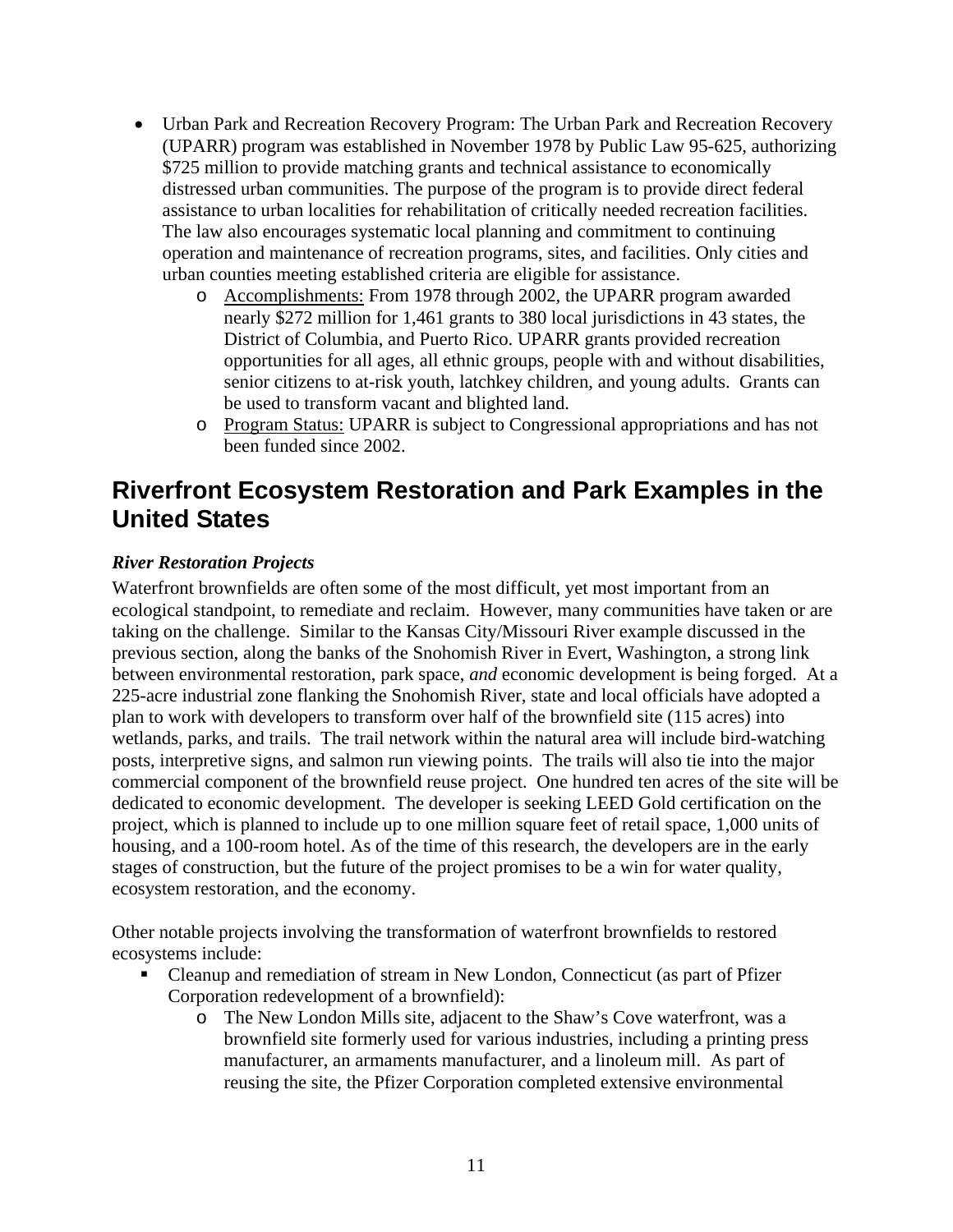- Urban Park and Recreation Recovery Program: The Urban Park and Recreation Recovery (UPARR) program was established in November 1978 by Public Law 95-625, authorizing \$725 million to provide matching grants and technical assistance to economically distressed urban communities. The purpose of the program is to provide direct federal assistance to urban localities for rehabilitation of critically needed recreation facilities. The law also encourages systematic local planning and commitment to continuing operation and maintenance of recreation programs, sites, and facilities. Only cities and urban counties meeting established criteria are eligible for assistance.
	- o Accomplishments: From 1978 through 2002, the UPARR program awarded nearly \$272 million for 1,461 grants to 380 local jurisdictions in 43 states, the District of Columbia, and Puerto Rico. UPARR grants provided recreation opportunities for all ages, all ethnic groups, people with and without disabilities, senior citizens to at-risk youth, latchkey children, and young adults. Grants can be used to transform vacant and blighted land.
	- o Program Status: UPARR is subject to Congressional appropriations and has not been funded since 2002.

### **Riverfront Ecosystem Restoration and Park Examples in the United States**

### *River Restoration Projects*

Waterfront brownfields are often some of the most difficult, yet most important from an ecological standpoint, to remediate and reclaim. However, many communities have taken or are taking on the challenge. Similar to the Kansas City/Missouri River example discussed in the previous section, along the banks of the Snohomish River in Evert, Washington, a strong link between environmental restoration, park space, *and* economic development is being forged. At a 225-acre industrial zone flanking the Snohomish River, state and local officials have adopted a plan to work with developers to transform over half of the brownfield site (115 acres) into wetlands, parks, and trails. The trail network within the natural area will include bird-watching posts, interpretive signs, and salmon run viewing points. The trails will also tie into the major commercial component of the brownfield reuse project. One hundred ten acres of the site will be dedicated to economic development. The developer is seeking LEED Gold certification on the project, which is planned to include up to one million square feet of retail space, 1,000 units of housing, and a 100-room hotel. As of the time of this research, the developers are in the early stages of construction, but the future of the project promises to be a win for water quality, ecosystem restoration, and the economy.

Other notable projects involving the transformation of waterfront brownfields to restored ecosystems include:

- Cleanup and remediation of stream in New London, Connecticut (as part of Pfizer Corporation redevelopment of a brownfield):
	- o The New London Mills site, adjacent to the Shaw's Cove waterfront, was a brownfield site formerly used for various industries, including a printing press manufacturer, an armaments manufacturer, and a linoleum mill. As part of reusing the site, the Pfizer Corporation completed extensive environmental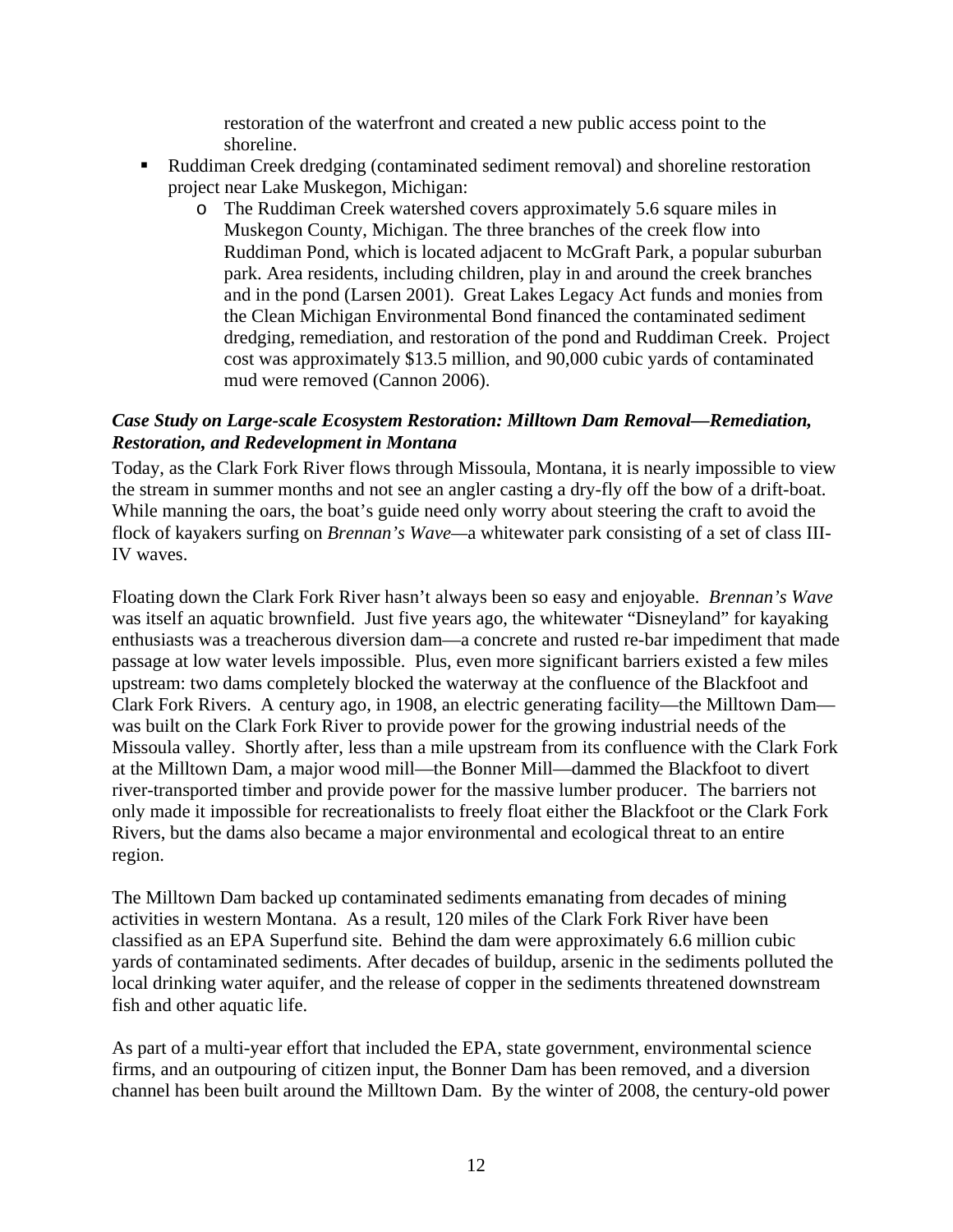restoration of the waterfront and created a new public access point to the shoreline.

- Ruddiman Creek dredging (contaminated sediment removal) and shoreline restoration project near Lake Muskegon, Michigan:
	- o The Ruddiman Creek watershed covers approximately 5.6 square miles in Muskegon County, Michigan. The three branches of the creek flow into Ruddiman Pond, which is located adjacent to McGraft Park, a popular suburban park. Area residents, including children, play in and around the creek branches and in the pond (Larsen 2001). Great Lakes Legacy Act funds and monies from the Clean Michigan Environmental Bond financed the contaminated sediment dredging, remediation, and restoration of the pond and Ruddiman Creek. Project cost was approximately \$13.5 million, and 90,000 cubic yards of contaminated mud were removed (Cannon 2006).

#### *Case Study on Large-scale Ecosystem Restoration: Milltown Dam Removal—Remediation, Restoration, and Redevelopment in Montana*

Today, as the Clark Fork River flows through Missoula, Montana, it is nearly impossible to view the stream in summer months and not see an angler casting a dry-fly off the bow of a drift-boat. While manning the oars, the boat's guide need only worry about steering the craft to avoid the flock of kayakers surfing on *Brennan's Wave—*a whitewater park consisting of a set of class III-IV waves.

Floating down the Clark Fork River hasn't always been so easy and enjoyable. *Brennan's Wave*  was itself an aquatic brownfield. Just five years ago, the whitewater "Disneyland" for kayaking enthusiasts was a treacherous diversion dam—a concrete and rusted re-bar impediment that made passage at low water levels impossible. Plus, even more significant barriers existed a few miles upstream: two dams completely blocked the waterway at the confluence of the Blackfoot and Clark Fork Rivers. A century ago, in 1908, an electric generating facility—the Milltown Dam was built on the Clark Fork River to provide power for the growing industrial needs of the Missoula valley. Shortly after, less than a mile upstream from its confluence with the Clark Fork at the Milltown Dam, a major wood mill—the Bonner Mill—dammed the Blackfoot to divert river-transported timber and provide power for the massive lumber producer. The barriers not only made it impossible for recreationalists to freely float either the Blackfoot or the Clark Fork Rivers, but the dams also became a major environmental and ecological threat to an entire region.

The Milltown Dam backed up contaminated sediments emanating from decades of mining activities in western Montana. As a result, 120 miles of the Clark Fork River have been classified as an EPA Superfund site. Behind the dam were approximately 6.6 million cubic yards of contaminated sediments. After decades of buildup, arsenic in the sediments polluted the local drinking water aquifer, and the release of copper in the sediments threatened downstream fish and other aquatic life.

As part of a multi-year effort that included the EPA, state government, environmental science firms, and an outpouring of citizen input, the Bonner Dam has been removed, and a diversion channel has been built around the Milltown Dam. By the winter of 2008, the century-old power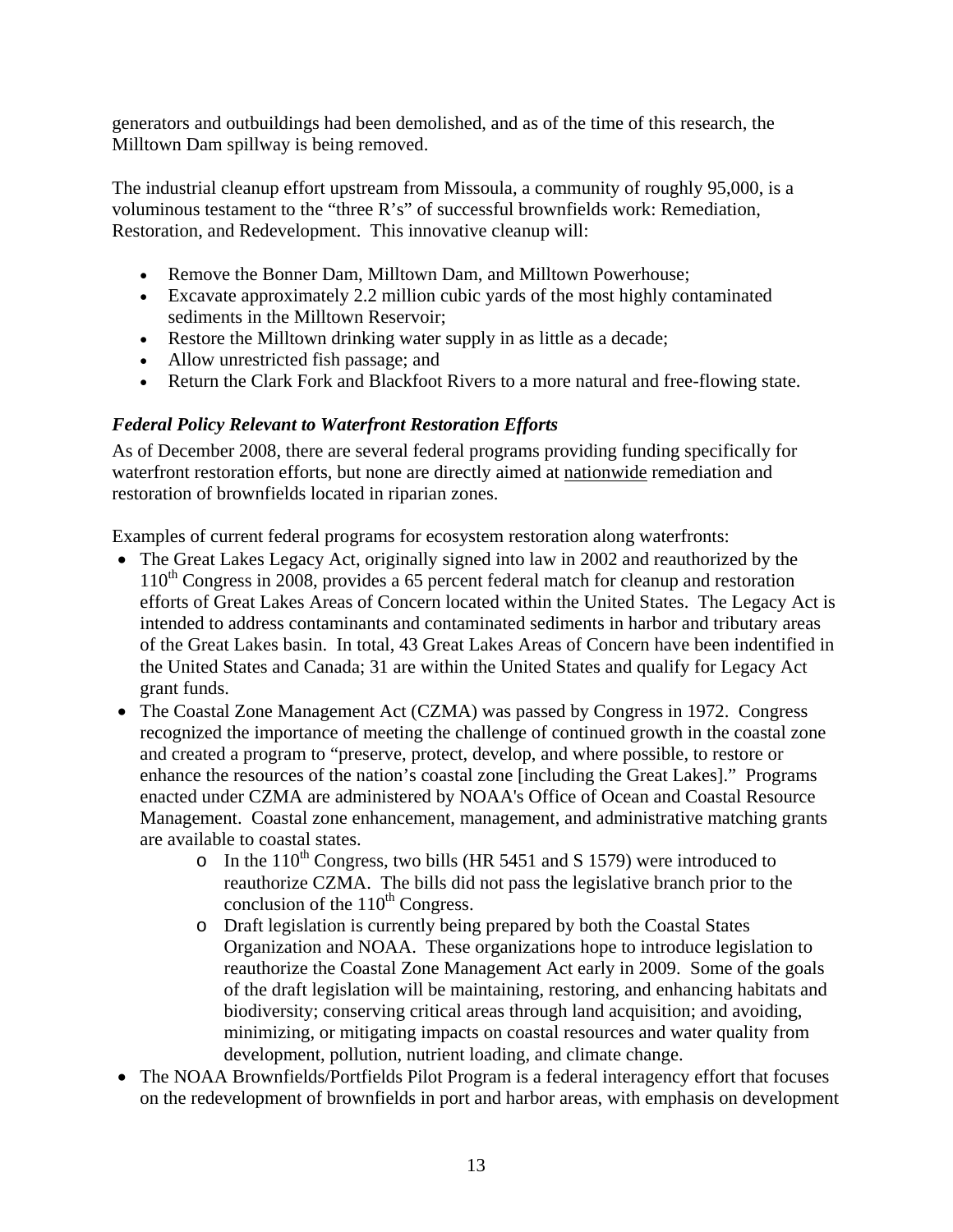generators and outbuildings had been demolished, and as of the time of this research, the Milltown Dam spillway is being removed.

The industrial cleanup effort upstream from Missoula, a community of roughly 95,000, is a voluminous testament to the "three R's" of successful brownfields work: Remediation, Restoration, and Redevelopment. This innovative cleanup will:

- Remove the Bonner Dam, Milltown Dam, and Milltown Powerhouse;
- Excavate approximately 2.2 million cubic yards of the most highly contaminated sediments in the Milltown Reservoir;
- Restore the Milltown drinking water supply in as little as a decade;
- Allow unrestricted fish passage; and
- Return the Clark Fork and Blackfoot Rivers to a more natural and free-flowing state.

### *Federal Policy Relevant to Waterfront Restoration Efforts*

As of December 2008, there are several federal programs providing funding specifically for waterfront restoration efforts, but none are directly aimed at nationwide remediation and restoration of brownfields located in riparian zones.

Examples of current federal programs for ecosystem restoration along waterfronts:

- The Great Lakes Legacy Act, originally signed into law in 2002 and reauthorized by the 110<sup>th</sup> Congress in 2008, provides a 65 percent federal match for cleanup and restoration efforts of Great Lakes Areas of Concern located within the United States. The Legacy Act is intended to address contaminants and contaminated sediments in harbor and tributary areas of the Great Lakes basin. In total, 43 Great Lakes Areas of Concern have been indentified in the United States and Canada; 31 are within the United States and qualify for Legacy Act grant funds.
- The Coastal Zone Management Act (CZMA) was passed by Congress in 1972. Congress recognized the importance of meeting the challenge of continued growth in the coastal zone and created a program to "preserve, protect, develop, and where possible, to restore or enhance the resources of the nation's coastal zone [including the Great Lakes]." Programs enacted under CZMA are administered by NOAA's Office of Ocean and Coastal Resource Management. Coastal zone enhancement, management, and administrative matching grants are available to coastal states.
	- $\circ$  In the 110<sup>th</sup> Congress, two bills (HR 5451 and S 1579) were introduced to reauthorize CZMA. The bills did not pass the legislative branch prior to the conclusion of the  $110^{th}$  Congress.
	- o Draft legislation is currently being prepared by both the Coastal States Organization and NOAA. These organizations hope to introduce legislation to reauthorize the Coastal Zone Management Act early in 2009. Some of the goals of the draft legislation will be maintaining, restoring, and enhancing habitats and biodiversity; conserving critical areas through land acquisition; and avoiding, minimizing, or mitigating impacts on coastal resources and water quality from development, pollution, nutrient loading, and climate change.
- The NOAA Brownfields/Portfields Pilot Program is a federal interagency effort that focuses on the redevelopment of brownfields in port and harbor areas, with emphasis on development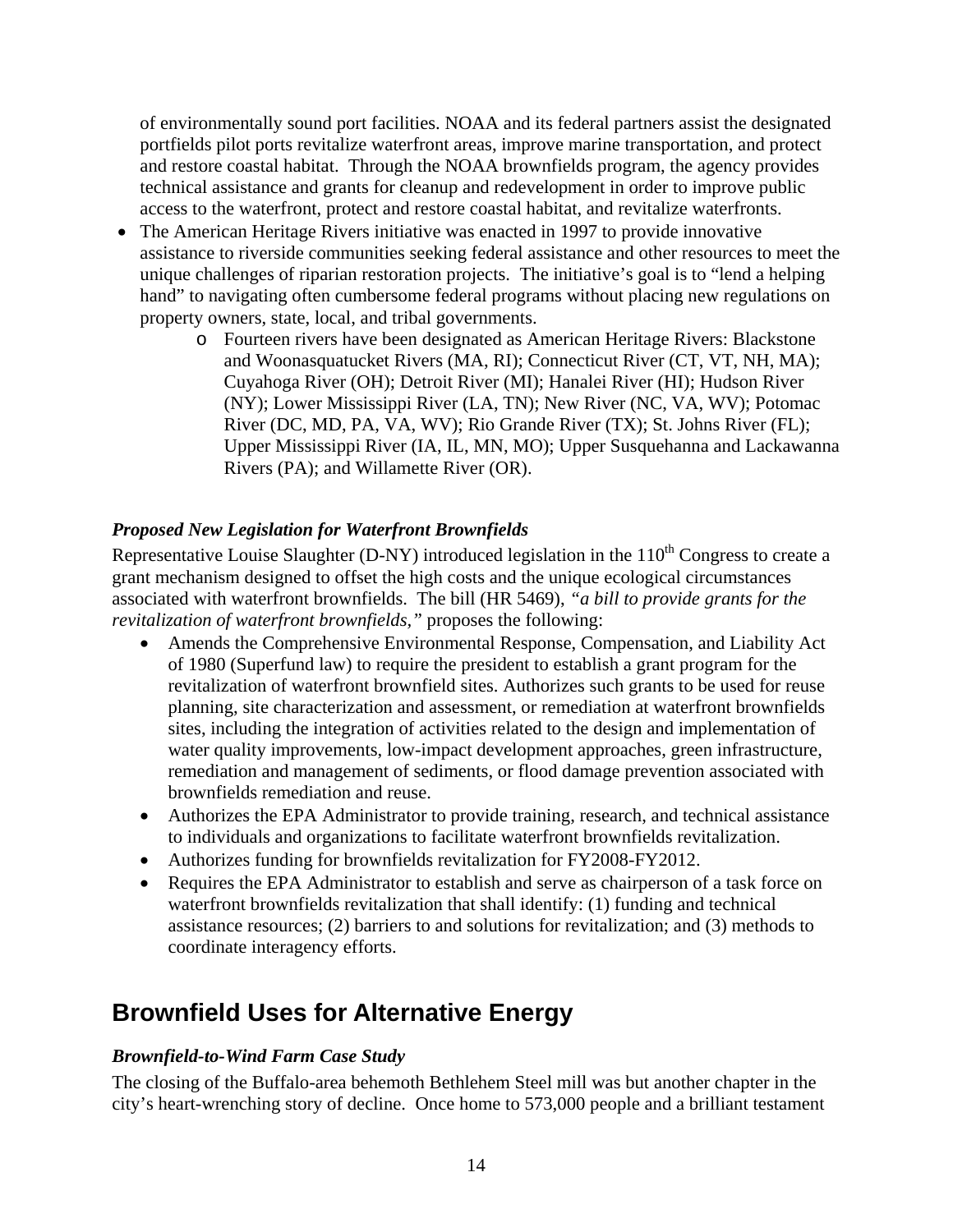of environmentally sound port facilities. NOAA and its federal partners assist the designated portfields pilot ports revitalize waterfront areas, improve marine transportation, and protect and restore coastal habitat. Through the NOAA brownfields program, the agency provides technical assistance and grants for cleanup and redevelopment in order to improve public access to the waterfront, protect and restore coastal habitat, and revitalize waterfronts.

- The American Heritage Rivers initiative was enacted in 1997 to provide innovative assistance to riverside communities seeking federal assistance and other resources to meet the unique challenges of riparian restoration projects. The initiative's goal is to "lend a helping hand" to navigating often cumbersome federal programs without placing new regulations on property owners, state, local, and tribal governments.
	- o Fourteen rivers have been designated as American Heritage Rivers: Blackstone and Woonasquatucket Rivers (MA, RI); Connecticut River (CT, VT, NH, MA); Cuyahoga River (OH); Detroit River (MI); Hanalei River (HI); Hudson River (NY); Lower Mississippi River (LA, TN); New River (NC, VA, WV); Potomac River (DC, MD, PA, VA, WV); Rio Grande River (TX); St. Johns River (FL); Upper Mississippi River (IA, IL, MN, MO); Upper Susquehanna and Lackawanna Rivers (PA); and Willamette River (OR).

### *Proposed New Legislation for Waterfront Brownfields*

Representative Louise Slaughter (D-NY) introduced legislation in the  $110<sup>th</sup>$  Congress to create a grant mechanism designed to offset the high costs and the unique ecological circumstances associated with waterfront brownfields. The bill (HR 5469), *"a bill to provide grants for the revitalization of waterfront brownfields,"* proposes the following:

- Amends the Comprehensive Environmental Response, Compensation, and Liability Act of 1980 (Superfund law) to require the president to establish a grant program for the revitalization of waterfront brownfield sites. Authorizes such grants to be used for reuse planning, site characterization and assessment, or remediation at waterfront brownfields sites, including the integration of activities related to the design and implementation of water quality improvements, low-impact development approaches, green infrastructure, remediation and management of sediments, or flood damage prevention associated with brownfields remediation and reuse.
- Authorizes the EPA Administrator to provide training, research, and technical assistance to individuals and organizations to facilitate waterfront brownfields revitalization.
- Authorizes funding for brownfields revitalization for FY2008-FY2012.
- Requires the EPA Administrator to establish and serve as chairperson of a task force on waterfront brownfields revitalization that shall identify: (1) funding and technical assistance resources; (2) barriers to and solutions for revitalization; and (3) methods to coordinate interagency efforts.

### **Brownfield Uses for Alternative Energy**

### *Brownfield-to-Wind Farm Case Study*

The closing of the Buffalo-area behemoth Bethlehem Steel mill was but another chapter in the city's heart-wrenching story of decline. Once home to 573,000 people and a brilliant testament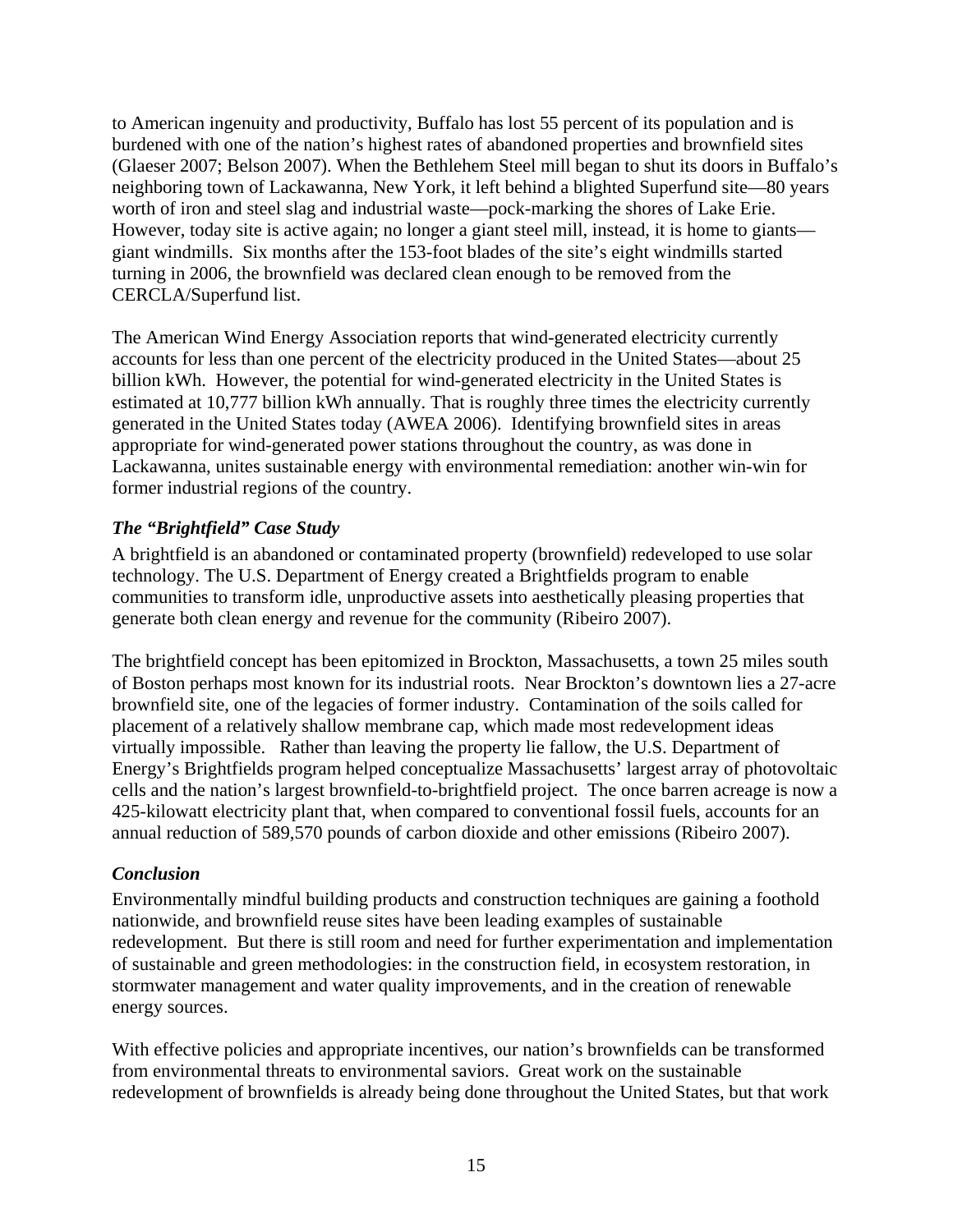to American ingenuity and productivity, Buffalo has lost 55 percent of its population and is burdened with one of the nation's highest rates of abandoned properties and brownfield sites (Glaeser 2007; Belson 2007). When the Bethlehem Steel mill began to shut its doors in Buffalo's neighboring town of Lackawanna, New York, it left behind a blighted Superfund site—80 years worth of iron and steel slag and industrial waste—pock-marking the shores of Lake Erie. However, today site is active again; no longer a giant steel mill, instead, it is home to giants giant windmills. Six months after the 153-foot blades of the site's eight windmills started turning in 2006, the brownfield was declared clean enough to be removed from the CERCLA/Superfund list.

The American Wind Energy Association reports that wind-generated electricity currently accounts for less than one percent of the electricity produced in the United States—about 25 billion kWh. However, the potential for wind-generated electricity in the United States is estimated at 10,777 billion kWh annually. That is roughly three times the electricity currently generated in the United States today (AWEA 2006). Identifying brownfield sites in areas appropriate for wind-generated power stations throughout the country, as was done in Lackawanna, unites sustainable energy with environmental remediation: another win-win for former industrial regions of the country.

### *The "Brightfield" Case Study*

A brightfield is an abandoned or contaminated property (brownfield) redeveloped to use solar technology. The U.S. Department of Energy created a Brightfields program to enable communities to transform idle, unproductive assets into aesthetically pleasing properties that generate both clean energy and revenue for the community (Ribeiro 2007).

The brightfield concept has been epitomized in Brockton, Massachusetts, a town 25 miles south of Boston perhaps most known for its industrial roots. Near Brockton's downtown lies a 27-acre brownfield site, one of the legacies of former industry. Contamination of the soils called for placement of a relatively shallow membrane cap, which made most redevelopment ideas virtually impossible. Rather than leaving the property lie fallow, the U.S. Department of Energy's Brightfields program helped conceptualize Massachusetts' largest array of photovoltaic cells and the nation's largest brownfield-to-brightfield project. The once barren acreage is now a 425-kilowatt electricity plant that, when compared to conventional fossil fuels, accounts for an annual reduction of 589,570 pounds of carbon dioxide and other emissions (Ribeiro 2007).

### *Conclusion*

Environmentally mindful building products and construction techniques are gaining a foothold nationwide, and brownfield reuse sites have been leading examples of sustainable redevelopment. But there is still room and need for further experimentation and implementation of sustainable and green methodologies: in the construction field, in ecosystem restoration, in stormwater management and water quality improvements, and in the creation of renewable energy sources.

With effective policies and appropriate incentives, our nation's brownfields can be transformed from environmental threats to environmental saviors. Great work on the sustainable redevelopment of brownfields is already being done throughout the United States, but that work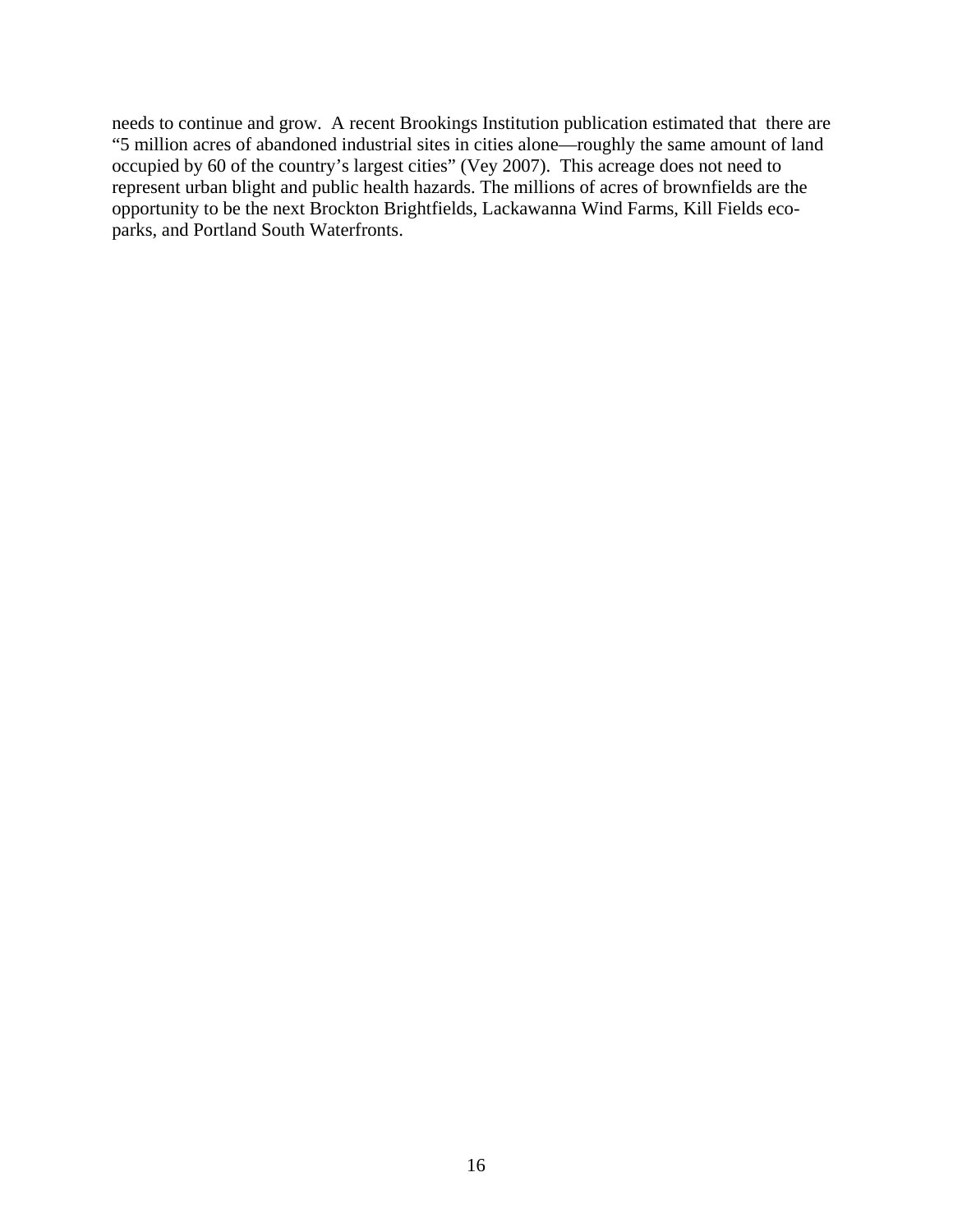needs to continue and grow. A recent Brookings Institution publication estimated that there are "5 million acres of abandoned industrial sites in cities alone—roughly the same amount of land occupied by 60 of the country's largest cities" (Vey 2007). This acreage does not need to represent urban blight and public health hazards. The millions of acres of brownfields are the opportunity to be the next Brockton Brightfields, Lackawanna Wind Farms, Kill Fields ecoparks, and Portland South Waterfronts.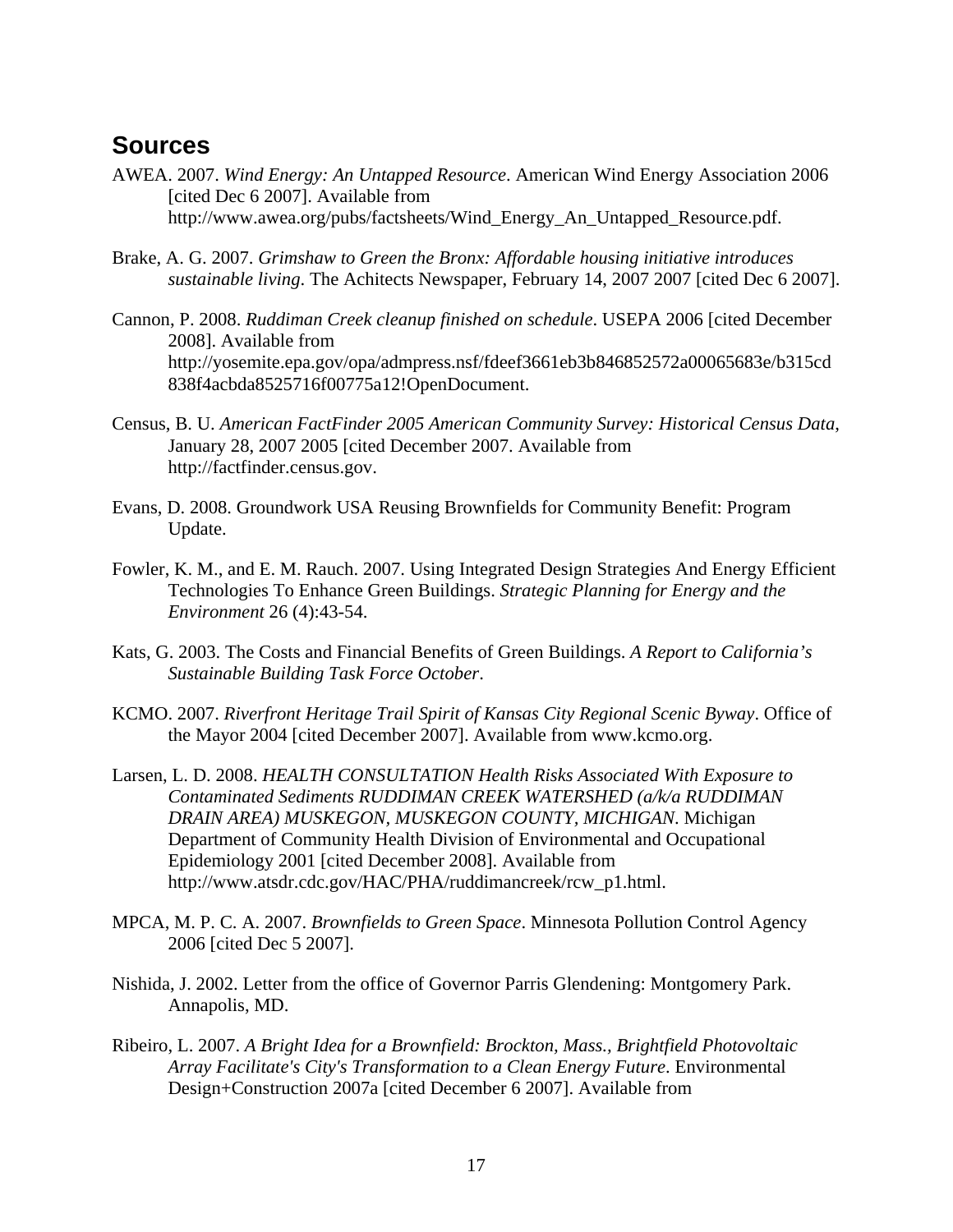### **Sources**

- AWEA. 2007. *Wind Energy: An Untapped Resource*. American Wind Energy Association 2006 [cited Dec 6 2007]. Available from http://www.awea.org/pubs/factsheets/Wind\_Energy\_An\_Untapped\_Resource.pdf.
- Brake, A. G. 2007. *Grimshaw to Green the Bronx: Affordable housing initiative introduces sustainable living*. The Achitects Newspaper, February 14, 2007 2007 [cited Dec 6 2007].
- Cannon, P. 2008. *Ruddiman Creek cleanup finished on schedule*. USEPA 2006 [cited December 2008]. Available from http://yosemite.epa.gov/opa/admpress.nsf/fdeef3661eb3b846852572a00065683e/b315cd 838f4acbda8525716f00775a12!OpenDocument.
- Census, B. U. *American FactFinder 2005 American Community Survey: Historical Census Data*, January 28, 2007 2005 [cited December 2007. Available from http://factfinder.census.gov.
- Evans, D. 2008. Groundwork USA Reusing Brownfields for Community Benefit: Program Update.
- Fowler, K. M., and E. M. Rauch. 2007. Using Integrated Design Strategies And Energy Efficient Technologies To Enhance Green Buildings. *Strategic Planning for Energy and the Environment* 26 (4):43-54.
- Kats, G. 2003. The Costs and Financial Benefits of Green Buildings. *A Report to California's Sustainable Building Task Force October*.
- KCMO. 2007. *Riverfront Heritage Trail Spirit of Kansas City Regional Scenic Byway*. Office of the Mayor 2004 [cited December 2007]. Available from www.kcmo.org.
- Larsen, L. D. 2008. *HEALTH CONSULTATION Health Risks Associated With Exposure to Contaminated Sediments RUDDIMAN CREEK WATERSHED (a/k/a RUDDIMAN DRAIN AREA) MUSKEGON, MUSKEGON COUNTY, MICHIGAN*. Michigan Department of Community Health Division of Environmental and Occupational Epidemiology 2001 [cited December 2008]. Available from http://www.atsdr.cdc.gov/HAC/PHA/ruddimancreek/rcw\_p1.html.
- MPCA, M. P. C. A. 2007. *Brownfields to Green Space*. Minnesota Pollution Control Agency 2006 [cited Dec 5 2007].
- Nishida, J. 2002. Letter from the office of Governor Parris Glendening: Montgomery Park. Annapolis, MD.
- Ribeiro, L. 2007. *A Bright Idea for a Brownfield: Brockton, Mass., Brightfield Photovoltaic Array Facilitate's City's Transformation to a Clean Energy Future*. Environmental Design+Construction 2007a [cited December 6 2007]. Available from